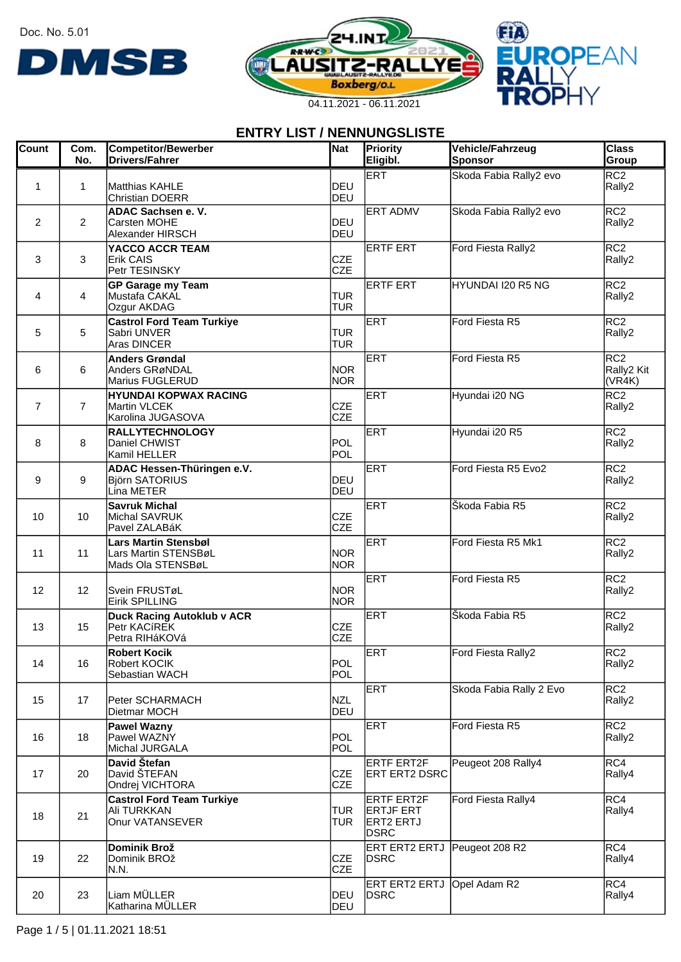Doc. No. 5.01







| <b>Count</b>   | Com.<br>No.    | <b>Competitor/Bewerber</b><br><b>Drivers/Fahrer</b>                      | Nat                      | Priority<br>Eligibl.                                              | Vehicle/Fahrzeug<br>Sponsor | <b>Class</b><br>Group                   |
|----------------|----------------|--------------------------------------------------------------------------|--------------------------|-------------------------------------------------------------------|-----------------------------|-----------------------------------------|
| 1              | 1              | Matthias KAHLE<br><b>Christian DOERR</b>                                 | IDEU<br>DEU              | <b>ERT</b>                                                        | Skoda Fabia Rally2 evo      | RC2<br>Rally2                           |
| $\overline{2}$ | 2              | ADAC Sachsen e. V.<br>Carsten MOHE<br>Alexander HIRSCH                   | DEU<br>DEU               | <b>ERT ADMV</b>                                                   | Skoda Fabia Rally2 evo      | RC <sub>2</sub><br>Rally2               |
| 3              | 3              | YACCO ACCR TEAM<br><b>Erik CAIS</b><br>Petr TESINSKY                     | <b>CZE</b><br><b>CZE</b> | <b>ERTF ERT</b>                                                   | Ford Fiesta Rally2          | RC2<br>Rally2                           |
| 4              | 4              | <b>GP Garage my Team</b><br>Mustafa CAKAL<br>Ozgur AKDAG                 | <b>TUR</b><br><b>TUR</b> | <b>ERTF ERT</b>                                                   | HYUNDAI I20 R5 NG           | RC2<br>Rally2                           |
| 5              | 5              | <b>Castrol Ford Team Turkiye</b><br>Sabri UNVER<br>Aras DINCER           | <b>TUR</b><br><b>TUR</b> | ERT                                                               | Ford Fiesta R5              | RC <sub>2</sub><br>Rally2               |
| 6              | 6              | <b>Anders Grøndal</b><br>Anders GRøNDAL<br>Marius FUGLERUD               | <b>NOR</b><br><b>NOR</b> | ERT                                                               | Ford Fiesta R5              | RC <sub>2</sub><br>Rally2 Kit<br>(VR4K) |
| $\overline{7}$ | $\overline{7}$ | <b>HYUNDAI KOPWAX RACING</b><br>Martin VLCEK<br>Karolina JUGASOVA        | <b>CZE</b><br><b>CZE</b> | ERT                                                               | Hyundai i20 NG              | RC <sub>2</sub><br>Rally2               |
| 8              | 8              | <b>RALLYTECHNOLOGY</b><br>Daniel CHWIST<br>Kamil HELLER                  | POL<br>POL               | ERT                                                               | Hyundai i20 R5              | RC <sub>2</sub><br>Rally2               |
| 9              | 9              | ADAC Hessen-Thüringen e.V.<br><b>Björn SATORIUS</b><br>Lina METER        | IDEU<br>DEU              | ERT                                                               | Ford Fiesta R5 Evo2         | RC <sub>2</sub><br>Rally2               |
| 10             | 10             | <b>Savruk Michal</b><br>Michal SAVRUK<br>Pavel ZALABáK                   | <b>CZE</b><br><b>CZE</b> | ERT                                                               | Škoda Fabia R5              | RC2<br>Rally2                           |
| 11             | 11             | <b>Lars Martin Stensbøl</b><br>Lars Martin STENSBøL<br>Mads Ola STENSBøL | <b>NOR</b><br><b>NOR</b> | ERT                                                               | Ford Fiesta R5 Mk1          | RC <sub>2</sub><br>Rally2               |
| 12             | 12             | Svein FRUSTøL<br><b>Eirik SPILLING</b>                                   | <b>NOR</b><br><b>NOR</b> | ERT                                                               | Ford Fiesta R5              | RC <sub>2</sub><br>Rally2               |
| 13             | 15             | <b>Duck Racing Autoklub v ACR</b><br>Petr KACíREK<br>Petra RIHáKOVá      | <b>CZE</b><br><b>CZE</b> | <b>ERT</b>                                                        | Škoda Fabia R5              | RC <sub>2</sub><br>Rally2               |
| 14             | 16             | <b>Robert Kocik</b><br>Robert KOCIK<br>Sebastian WACH                    | POL<br>POL               | <b>ERT</b>                                                        | Ford Fiesta Rally2          | RC2<br>Rally2                           |
| 15             | 17             | Peter SCHARMACH<br>Dietmar MOCH                                          | <b>NZL</b><br>DEU        | ERT                                                               | Skoda Fabia Rally 2 Evo     | RC2<br>Rally2                           |
| 16             | 18             | <b>Pawel Wazny</b><br>Pawel WAZNY<br>Michal JURGALA                      | POL<br>POL               | ERT                                                               | Ford Fiesta R5              | RC2<br>Rally2                           |
| 17             | 20             | David Štefan<br>David ŠTEFAN<br>Ondrej VICHTORA                          | <b>CZE</b><br><b>CZE</b> | <b>ERTF ERT2F</b><br><b>ERT ERT2 DSRC</b>                         | Peugeot 208 Rally4          | RC4 <br>Rally4                          |
| 18             | 21             | <b>Castrol Ford Team Turkiye</b><br>Ali TURKKAN<br>Onur VATANSEVER       | <b>TUR</b><br><b>TUR</b> | <b>ERTF ERT2F</b><br>ERTJF ERT<br><b>ERT2 ERTJ</b><br><b>DSRC</b> | Ford Fiesta Rally4          | RC4<br>Rally4                           |
| 19             | 22             | Dominik Brož<br>Dominik BROž<br>N.N.                                     | <b>CZE</b><br><b>CZE</b> | ERT ERT2 ERTJ Peugeot 208 R2<br><b>IDSRC</b>                      |                             | RC4 <br>Rally4                          |
| 20             | 23             | Liam MÜLLER<br>Katharina MÜLLER                                          | DEU<br>DEU               | ERT ERT2 ERTJ Opel Adam R2<br><b>DSRC</b>                         |                             | RC4<br>Rally4                           |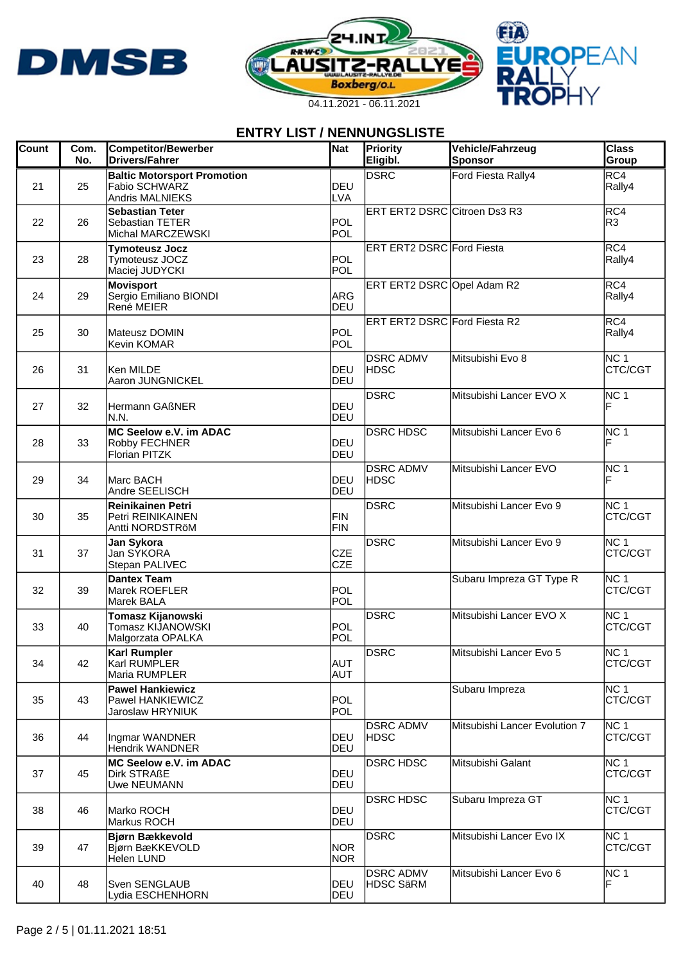





| <b>Count</b> | Com.<br>No. | <b>Competitor/Bewerber</b><br><b>Drivers/Fahrer</b>                           | Nat                      | Priority<br>Eligibl.                 | Vehicle/Fahrzeug<br><b>Sponsor</b> | <b>Class</b><br>Group      |
|--------------|-------------|-------------------------------------------------------------------------------|--------------------------|--------------------------------------|------------------------------------|----------------------------|
| 21           | 25          | <b>Baltic Motorsport Promotion</b><br>Fabio SCHWARZ<br><b>Andris MALNIEKS</b> | DEU<br>LVA               | <b>DSRC</b>                          | Ford Fiesta Rally4                 | RC4<br>Rally4              |
| 22           | 26          | <b>Sebastian Teter</b><br><b>Sebastian TETER</b><br>Michal MARCZEWSKI         | POL<br>POL               | ERT ERT2 DSRC Citroen Ds3 R3         |                                    | RC4<br>R3                  |
| 23           | 28          | <b>Tymoteusz Jocz</b><br>Tymoteusz JOCZ<br>Maciej JUDYCKI                     | POL<br>POL               | ERT ERT2 DSRC Ford Fiesta            |                                    | RC4 <br>Rally4             |
| 24           | 29          | <b>Movisport</b><br>Sergio Emiliano BIONDI<br>René MEIER                      | <b>ARG</b><br>DEU        | ERT ERT2 DSRC Opel Adam R2           |                                    | RC4<br>Rally4              |
| 25           | 30          | Mateusz DOMIN<br>Kevin KOMAR                                                  | POL<br>POL               | <b>ERT ERT2 DSRC</b> Ford Fiesta R2  |                                    | RC4 <br>Rally4             |
| 26           | 31          | lKen MILDE<br>Aaron JUNGNICKEL                                                | DEU<br><b>DEU</b>        | <b>DSRC ADMV</b><br>HDSC             | Mitsubishi Evo 8                   | NC 1<br>CTC/CGT            |
| 27           | 32          | Hermann GAßNER<br>IN.N.                                                       | DEU<br>DEU               | <b>DSRC</b>                          | Mitsubishi Lancer EVO X            | NC 1<br>F                  |
| 28           | 33          | MC Seelow e.V. im ADAC<br>Robby FECHNER<br><b>Florian PITZK</b>               | DEU<br>DEU               | <b>DSRC HDSC</b>                     | Mitsubishi Lancer Evo 6            | NC 1<br>ΙF                 |
| 29           | 34          | Marc BACH<br>Andre SEELISCH                                                   | IDEU<br><b>DEU</b>       | <b>DSRC ADMV</b><br><b>HDSC</b>      | Mitsubishi Lancer EVO              | NC 1<br>F                  |
| 30           | 35          | <b>Reinikainen Petri</b><br>Petri REINIKAINEN<br>Antti NORDSTRöM              | <b>FIN</b><br>FIN        | <b>DSRC</b>                          | Mitsubishi Lancer Evo 9            | NC 1<br>CTC/CGT            |
| 31           | 37          | Jan Sykora<br>Jan SYKORA<br>Stepan PALIVEC                                    | <b>CZE</b><br><b>CZE</b> | DSRC                                 | Mitsubishi Lancer Evo 9            | NC 1<br>CTC/CGT            |
| 32           | 39          | <b>Dantex Team</b><br>Marek ROEFLER<br>Marek BALA                             | POL<br>POL               |                                      | Subaru Impreza GT Type R           | NC 1<br>CTC/CGT            |
| 33           | 40          | Tomasz Kijanowski<br>Tomasz KIJANOWSKI<br>Malgorzata OPALKA                   | POL<br>POL               | DSRC                                 | Mitsubishi Lancer EVO X            | INC 1<br>CTC/CGT           |
| 34           | 42          | <b>Karl Rumpler</b><br>Karl RUMPLER<br>Maria RUMPLER                          | <b>AUT</b><br><b>AUT</b> | <b>DSRC</b>                          | lMitsubishi Lancer Evo 5           | INC 1<br>CTC/CGT           |
| 35           | 43          | <b>Pawel Hankiewicz</b><br>Pawel HANKIEWICZ<br>Jaroslaw HRYNIUK               | POL<br>POL               |                                      | Subaru Impreza                     | NC 1<br>CTC/CGT            |
| 36           | 44          | Ingmar WANDNER<br>Hendrik WANDNER                                             | DEU<br><b>IDEU</b>       | <b>DSRC ADMV</b><br> HDSC            | Mitsubishi Lancer Evolution 7      | NC 1<br>CTC/CGT            |
| 37           | 45          | MC Seelow e.V. im ADAC<br><b>Dirk STRAßE</b><br>Uwe NEUMANN                   | <b>IDEU</b><br>DEU       | <b>DSRC HDSC</b>                     | Mitsubishi Galant                  | NC 1<br>CTC/CGT            |
| 38           | 46          | Marko ROCH<br>Markus ROCH                                                     | DEU<br>DEU               | <b>DSRC HDSC</b>                     | Subaru Impreza GT                  | NC <sub>1</sub><br>CTC/CGT |
| 39           | 47          | <b>Bjørn Bækkevold</b><br>Bjørn BæKKEVOLD<br><b>Helen LUND</b>                | <b>NOR</b><br><b>NOR</b> | DSRC                                 | Mitsubishi Lancer Evo IX           | NC 1<br>CTC/CGT            |
| 40           | 48          | Sven SENGLAUB<br>Lydia ESCHENHORN                                             | DEU<br>DEU               | <b>DSRC ADMV</b><br><b>HDSC SäRM</b> | Mitsubishi Lancer Evo 6            | NC 1<br>F                  |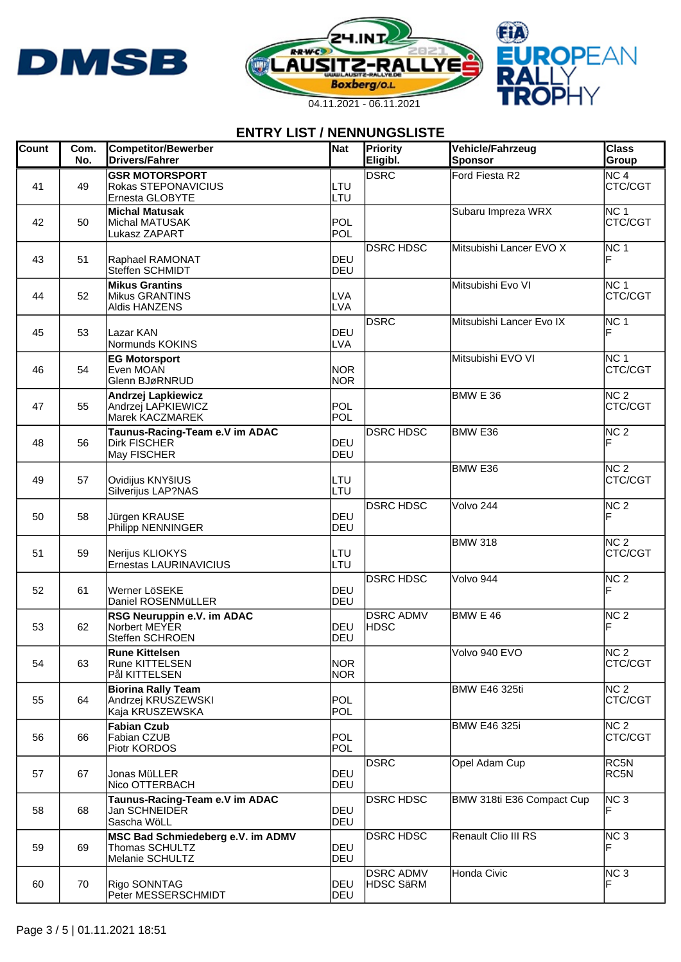





| <b>Count</b> | Com.<br>No. | <b>Competitor/Bewerber</b><br><b>Drivers/Fahrer</b>                    | Nat                      | Priority<br>Eligibl.                 | Vehicle/Fahrzeug<br>Sponsor | <b>Class</b><br>Group      |
|--------------|-------------|------------------------------------------------------------------------|--------------------------|--------------------------------------|-----------------------------|----------------------------|
| 41           | 49          | <b>GSR MOTORSPORT</b><br>Rokas STEPONAVICIUS<br>Ernesta GLOBYTE        | LTU<br>LTU               | <b>DSRC</b>                          | Ford Fiesta R2              | NC 4<br>CTC/CGT            |
| 42           | 50          | <b>Michal Matusak</b><br>Michal MATUSAK<br>Lukasz ZAPART               | POL<br>POL               |                                      | Subaru Impreza WRX          | NC 1<br>CTC/CGT            |
| 43           | 51          | Raphael RAMONAT<br>Steffen SCHMIDT                                     | DEU<br>DEU               | <b>DSRC HDSC</b>                     | Mitsubishi Lancer EVO X     | NC 1                       |
| 44           | 52          | <b>Mikus Grantins</b><br>Mikus GRANTINS<br><b>Aldis HANZENS</b>        | <b>LVA</b><br><b>LVA</b> |                                      | Mitsubishi Evo VI           | NC 1<br>CTC/CGT            |
| 45           | 53          | Lazar KAN<br>Normunds KOKINS                                           | DEU<br><b>LVA</b>        | <b>DSRC</b>                          | Mitsubishi Lancer Evo IX    | NC 1<br>F                  |
| 46           | 54          | <b>EG Motorsport</b><br>Even MOAN<br>Glenn BJøRNRUD                    | <b>NOR</b><br><b>NOR</b> |                                      | Mitsubishi EVO VI           | NC 1<br>CTC/CGT            |
| 47           | 55          | <b>Andrzej Lapkiewicz</b><br>Andrzej LAPKIEWICZ<br>Marek KACZMAREK     | POL<br>POL               |                                      | BMW E 36                    | NC <sub>2</sub><br>CTC/CGT |
| 48           | 56          | Taunus-Racing-Team e.V im ADAC<br>Dirk FISCHER<br>May FISCHER          | DEU<br>DEU               | <b>DSRC HDSC</b>                     | <b>BMW E36</b>              | NC 2<br>F                  |
| 49           | 57          | Ovidijus KNYšIUS<br>Silverijus LAP?NAS                                 | LTU<br>LTU               |                                      | BMW <sub>E36</sub>          | NC <sub>2</sub><br>CTC/CGT |
| 50           | 58          | Jürgen KRAUSE<br>Philipp NENNINGER                                     | DEU<br>DEU               | <b>DSRC HDSC</b>                     | Volvo 244                   | NC 2<br>F                  |
| 51           | 59          | Nerijus KLIOKYS<br>Ernestas LAURINAVICIUS                              | LTU<br>LTU               |                                      | <b>BMW 318</b>              | NC 2<br>CTC/CGT            |
| 52           | 61          | Werner LöSEKE<br>Daniel ROSENMüLLER                                    | DEU<br>DEU               | <b>DSRC HDSC</b>                     | Volvo 944                   | NC <sub>2</sub><br>F       |
| 53           | 62          | RSG Neuruppin e.V. im ADAC<br>Norbert MEYER<br>Steffen SCHROEN         | DEU<br>DEU               | <b>DSRC ADMV</b><br>HDSC             | BMW E 46                    | NC <sub>2</sub><br>F       |
| 54           | 63          | <b>Rune Kittelsen</b><br>Rune KITTELSEN<br>Pål KITTELSEN               | <b>NOR</b><br><b>NOR</b> |                                      | Volvo 940 EVO               | NC <sub>2</sub><br>CTC/CGT |
| 55           | 64          | <b>Biorina Rally Team</b><br>Andrzej KRUSZEWSKI<br>Kaja KRUSZEWSKA     | POL<br>POL               |                                      | <b>BMW E46 325ti</b>        | NC <sub>2</sub><br>CTC/CGT |
| 56           | 66          | <b>Fabian Czub</b><br>Fabian CZUB<br>Piotr KORDOS                      | POL<br>POL               |                                      | <b>BMW E46 325i</b>         | NC 2<br>CTC/CGT            |
| 57           | 67          | Jonas MüLLER<br>Nico OTTERBACH                                         | IDEU<br>DEU              | DSRC                                 | Opel Adam Cup               | RC5N<br>RC5N               |
| 58           | 68          | Taunus-Racing-Team e.V im ADAC<br>Jan SCHNEIDER<br>Sascha WöLL         | DEU<br>DEU               | <b>DSRC HDSC</b>                     | BMW 318ti E36 Compact Cup   | NC3<br>F                   |
| 59           | 69          | MSC Bad Schmiedeberg e.V. im ADMV<br>Thomas SCHULTZ<br>Melanie SCHULTZ | DEU<br>DEU               | <b>DSRC HDSC</b>                     | Renault Clio III RS         | NC 3<br>F                  |
| 60           | 70          | Rigo SONNTAG<br>Peter MESSERSCHMIDT                                    | IDEU<br>DEU              | <b>DSRC ADMV</b><br><b>HDSC SäRM</b> | Honda Civic                 | NC <sub>3</sub><br>F       |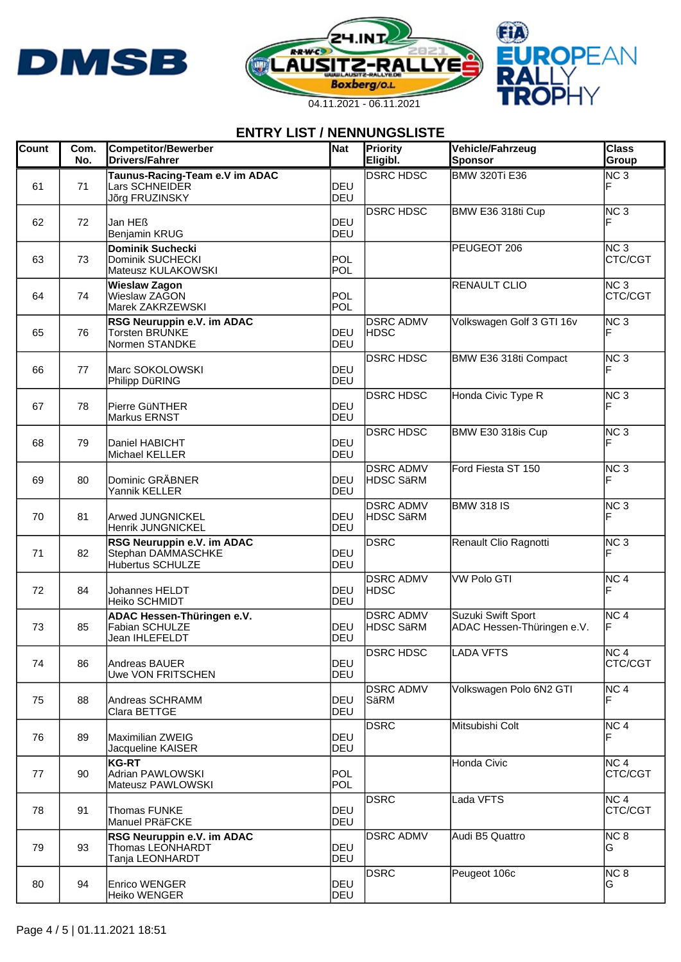





| <b>Count</b> | Com.<br>No. | <b>Competitor/Bewerber</b><br><b>Drivers/Fahrer</b>                   | Nat                 | Priority<br>Eligibl.                 | Vehicle/Fahrzeug<br>Sponsor                      | <b>Class</b><br>Group      |
|--------------|-------------|-----------------------------------------------------------------------|---------------------|--------------------------------------|--------------------------------------------------|----------------------------|
| 61           | 71          | Taunus-Racing-Team e.V im ADAC<br>Lars SCHNEIDER<br>Jõrg FRUZINSKY    | <b>IDEU</b><br>DEU  | <b>DSRC HDSC</b>                     | <b>BMW 320Ti E36</b>                             | NC <sub>3</sub>            |
| 62           | 72          | Jan HEß<br>Benjamin KRUG                                              | DEU<br>DEU          | <b>DSRC HDSC</b>                     | BMW E36 318ti Cup                                | NC <sub>3</sub>            |
| 63           | 73          | <b>Dominik Suchecki</b><br>Dominik SUCHECKI<br>Mateusz KULAKOWSKI     | POL<br>POL          |                                      | PEUGEOT 206                                      | NC <sub>3</sub><br>CTC/CGT |
| 64           | 74          | <b>Wieslaw Zagon</b><br>Wieslaw ZAGON<br>Marek ZAKRZEWSKI             | POL<br>POL          |                                      | <b>RENAULT CLIO</b>                              | NC <sub>3</sub><br>CTC/CGT |
| 65           | 76          | RSG Neuruppin e.V. im ADAC<br><b>Torsten BRUNKE</b><br>Normen STANDKE | DEU<br>DEU          | <b>DSRC ADMV</b><br><b>HDSC</b>      | Volkswagen Golf 3 GTI 16v                        | NC <sub>3</sub>            |
| 66           | 77          | Marc SOKOLOWSKI<br>Philipp DüRING                                     | DEU<br>DEU          | <b>DSRC HDSC</b>                     | BMW E36 318ti Compact                            | NC <sub>3</sub>            |
| 67           | 78          | Pierre GüNTHER<br><b>Markus ERNST</b>                                 | DEU<br>DEU          | <b>DSRC HDSC</b>                     | Honda Civic Type R                               | NC <sub>3</sub>            |
| 68           | 79          | Daniel HABICHT<br>Michael KELLER                                      | DEU<br>DEU          | <b>DSRC HDSC</b>                     | BMW E30 318is Cup                                | NC <sub>3</sub>            |
| 69           | 80          | Dominic GRÄBNER<br>Yannik KELLER                                      | IDEU<br><b>IDEU</b> | <b>DSRC ADMV</b><br><b>HDSC SäRM</b> | Ford Fiesta ST 150                               | NC <sub>3</sub>            |
| 70           | 81          | Arwed JUNGNICKEL<br>Henrik JUNGNICKEL                                 | DEU<br>DEU          | <b>DSRC ADMV</b><br><b>HDSC SäRM</b> | <b>BMW 318 IS</b>                                | NC <sub>3</sub>            |
| 71           | 82          | RSG Neuruppin e.V. im ADAC<br>Stephan DAMMASCHKE<br>Hubertus SCHULZE  | DEU<br>DEU          | DSRC                                 | Renault Clio Ragnotti                            | NC <sub>3</sub>            |
| 72           | 84          | <b>Johannes HELDT</b><br>Heiko SCHMIDT                                | DEU<br><b>IDEU</b>  | <b>DSRC ADMV</b><br><b>HDSC</b>      | <b>VW Polo GTI</b>                               | NC <sub>4</sub><br>F       |
| 73           | 85          | ADAC Hessen-Thüringen e.V.<br>Fabian SCHULZE<br>Jean IHLEFELDT        | <b>IDEU</b><br>DEU  | <b>DSRC ADMV</b><br><b>HDSC SäRM</b> | Suzuki Swift Sport<br>ADAC Hessen-Thüringen e.V. | NC <sub>4</sub>            |
| 74           | 86          | Andreas BAUER<br>Uwe VON FRITSCHEN                                    | DEU<br>DEU          | <b>DSRC HDSC</b>                     | <b>LADA VFTS</b>                                 | INC 4<br>CTC/CGT           |
| 75           | 88          | Andreas SCHRAMM<br>Clara BETTGE                                       | DEU<br>DEU          | <b>DSRC ADMV</b><br>SäRM             | Volkswagen Polo 6N2 GTI                          | NC <sub>4</sub>            |
| 76           | 89          | Maximilian ZWEIG<br>Jacqueline KAISER                                 | DEU<br>DEU          | <b>DSRC</b>                          | Mitsubishi Colt                                  | NC <sub>4</sub><br>F       |
| 77           | 90          | <b>KG-RT</b><br>Adrian PAWLOWSKI<br>Mateusz PAWLOWSKI                 | POL<br>POL          |                                      | Honda Civic                                      | NC <sub>4</sub><br>CTC/CGT |
| 78           | 91          | <b>Thomas FUNKE</b><br>Manuel PRäFCKE                                 | DEU<br>DEU          | <b>DSRC</b>                          | Lada VFTS                                        | NC <sub>4</sub><br>CTC/CGT |
| 79           | 93          | RSG Neuruppin e.V. im ADAC<br>Thomas LEONHARDT<br>Tanja LEONHARDT     | DEU<br>DEU          | <b>DSRC ADMV</b>                     | Audi B5 Quattro                                  | NC 8<br>IG.                |
| 80           | 94          | Enrico WENGER<br>Heiko WENGER                                         | <b>IDEU</b><br>DEU  | DSRC                                 | Peugeot 106c                                     | NC <sub>8</sub><br>G       |